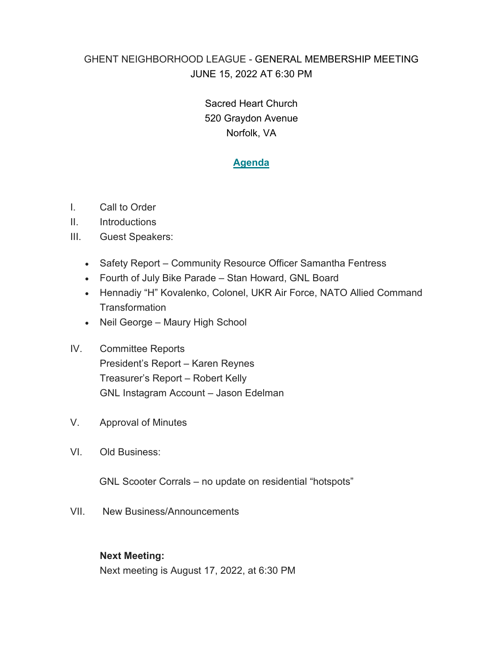## GHENT NEIGHBORHOOD LEAGUE - GENERAL MEMBERSHIP MEETING JUNE 15, 2022 AT 6:30 PM

Sacred Heart Church 520 Graydon Avenue Norfolk, VA

## **Agenda**

- I. Call to Order
- II. Introductions
- III. Guest Speakers:
	- Safety Report Community Resource Officer Samantha Fentress
	- Fourth of July Bike Parade Stan Howard, GNL Board
	- Hennadiy "H" Kovalenko, Colonel, UKR Air Force, NATO Allied Command **Transformation**
	- Neil George Maury High School
- IV. Committee Reports President's Report – Karen Reynes Treasurer's Report – Robert Kelly GNL Instagram Account – Jason Edelman
- V. Approval of Minutes
- VI. Old Business:

GNL Scooter Corrals – no update on residential "hotspots"

VII. New Business/Announcements

## **Next Meeting:**

Next meeting is August 17, 2022, at 6:30 PM